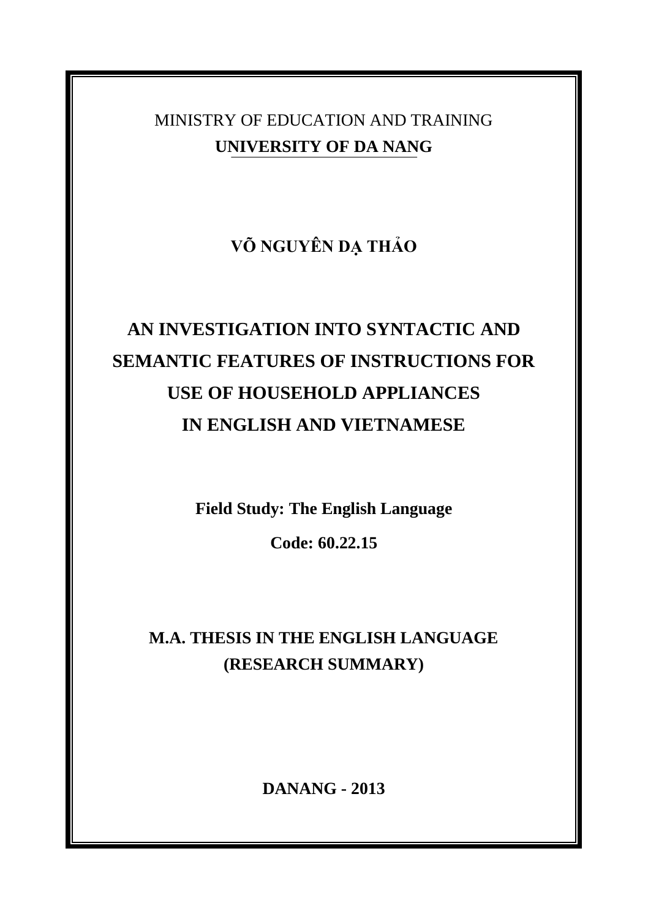MINISTRY OF EDUCATION AND TRAINING **UNIVERSITY OF DA NANG**

**VÕ NGUYÊN DẠ THẢO**

# **AN INVESTIGATION INTO SYNTACTIC AND SEMANTIC FEATURES OF INSTRUCTIONS FOR USE OF HOUSEHOLD APPLIANCES IN ENGLISH AND VIETNAMESE**

**Field Study: The English Language**

**Code: 60.22.15**

**M.A. THESIS IN THE ENGLISH LANGUAGE (RESEARCH SUMMARY)**

**DANANG - 2013**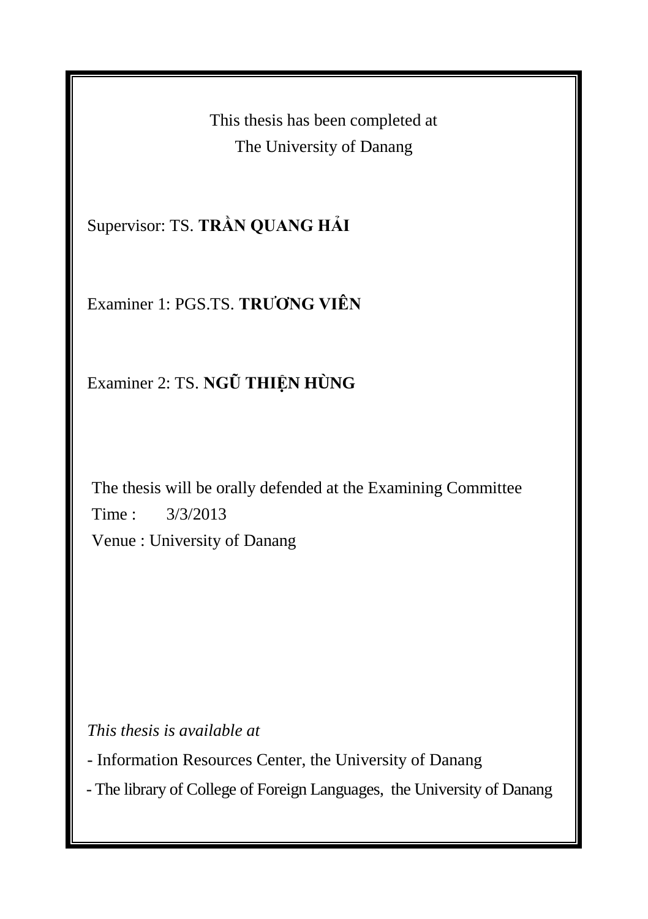This thesis has been completed at The University of Danang

Supervisor: TS. **TRẦN QUANG HẢI**

Examiner 1: PGS.TS. **TRƯƠNG VIÊN**

Examiner 2: TS. **NGŨ THIỆN HÙNG** 

The thesis will be orally defended at the Examining Committee Time : 3/3/2013 Venue : University of Danang

*This thesis is available at* 

- Information Resources Center, the University of Danang

- The library of College of Foreign Languages, the University of Danang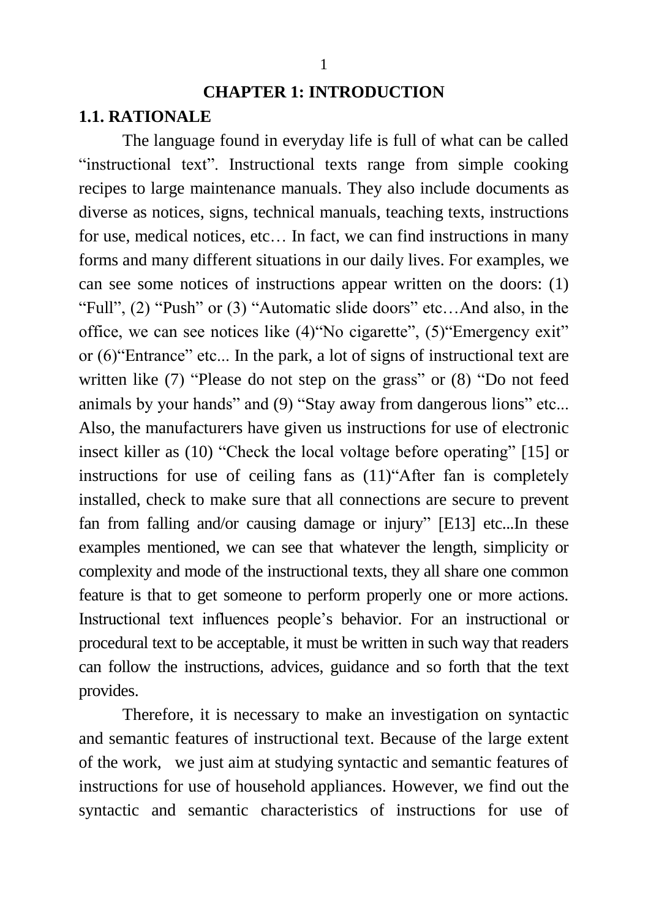# **CHAPTER 1: INTRODUCTION 1.1. RATIONALE**

The language found in everyday life is full of what can be called "instructional text". Instructional texts range from simple cooking recipes to large maintenance manuals. They also include documents as diverse as notices, signs, technical manuals, teaching texts, instructions for use, medical notices, etc… In fact, we can find instructions in many forms and many different situations in our daily lives. For examples, we can see some notices of instructions appear written on the doors: (1) "Full", (2) "Push" or (3) "Automatic slide doors" etc…And also, in the office, we can see notices like (4)"No cigarette", (5)"Emergency exit" or (6)"Entrance" etc... In the park, a lot of signs of instructional text are written like (7) "Please do not step on the grass" or (8) "Do not feed animals by your hands" and (9) "Stay away from dangerous lions" etc... Also, the manufacturers have given us instructions for use of electronic insect killer as (10) "Check the local voltage before operating" [15] or instructions for use of ceiling fans as (11)"After fan is completely installed, check to make sure that all connections are secure to prevent fan from falling and/or causing damage or injury" [E13] etc...In these examples mentioned, we can see that whatever the length, simplicity or complexity and mode of the instructional texts, they all share one common feature is that to get someone to perform properly one or more actions. Instructional text influences people"s behavior. For an instructional or procedural text to be acceptable, it must be written in such way that readers can follow the instructions, advices, guidance and so forth that the text provides.

Therefore, it is necessary to make an investigation on syntactic and semantic features of instructional text. Because of the large extent of the work, we just aim at studying syntactic and semantic features of instructions for use of household appliances. However, we find out the syntactic and semantic characteristics of instructions for use of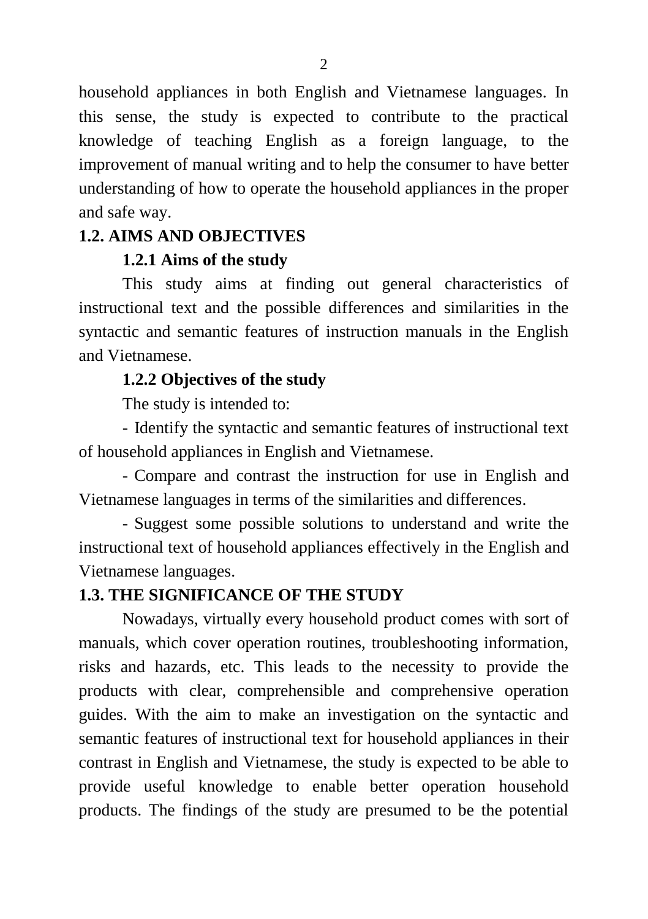household appliances in both English and Vietnamese languages. In this sense, the study is expected to contribute to the practical knowledge of teaching English as a foreign language, to the improvement of manual writing and to help the consumer to have better understanding of how to operate the household appliances in the proper and safe way.

### **1.2. AIMS AND OBJECTIVES**

### **1.2.1 Aims of the study**

This study aims at finding out general characteristics of instructional text and the possible differences and similarities in the syntactic and semantic features of instruction manuals in the English and Vietnamese.

### **1.2.2 Objectives of the study**

The study is intended to:

- Identify the syntactic and semantic features of instructional text of household appliances in English and Vietnamese.

- Compare and contrast the instruction for use in English and Vietnamese languages in terms of the similarities and differences.

- Suggest some possible solutions to understand and write the instructional text of household appliances effectively in the English and Vietnamese languages.

### **1.3. THE SIGNIFICANCE OF THE STUDY**

Nowadays, virtually every household product comes with sort of manuals, which cover operation routines, troubleshooting information, risks and hazards, etc. This leads to the necessity to provide the products with clear, comprehensible and comprehensive operation guides. With the aim to make an investigation on the syntactic and semantic features of instructional text for household appliances in their contrast in English and Vietnamese, the study is expected to be able to provide useful knowledge to enable better operation household products. The findings of the study are presumed to be the potential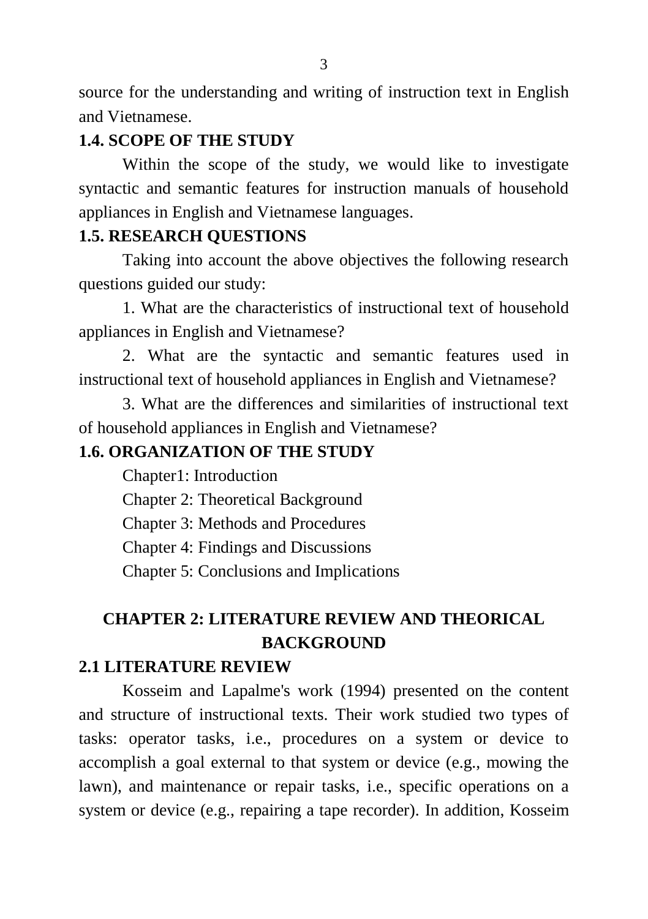source for the understanding and writing of instruction text in English and Vietnamese.

# **1.4. SCOPE OF THE STUDY**

Within the scope of the study, we would like to investigate syntactic and semantic features for instruction manuals of household appliances in English and Vietnamese languages.

# **1.5. RESEARCH QUESTIONS**

Taking into account the above objectives the following research questions guided our study:

1. What are the characteristics of instructional text of household appliances in English and Vietnamese?

2. What are the syntactic and semantic features used in instructional text of household appliances in English and Vietnamese?

3. What are the differences and similarities of instructional text of household appliances in English and Vietnamese?

# **1.6. ORGANIZATION OF THE STUDY**

Chapter1: Introduction

Chapter 2: Theoretical Background

Chapter 3: Methods and Procedures

Chapter 4: Findings and Discussions

Chapter 5: Conclusions and Implications

# **CHAPTER 2: LITERATURE REVIEW AND THEORICAL BACKGROUND**

# **2.1 LITERATURE REVIEW**

Kosseim and Lapalme's work (1994) presented on the content and structure of instructional texts. Their work studied two types of tasks: operator tasks, i.e., procedures on a system or device to accomplish a goal external to that system or device (e.g., mowing the lawn), and maintenance or repair tasks, i.e., specific operations on a system or device (e.g., repairing a tape recorder). In addition, Kosseim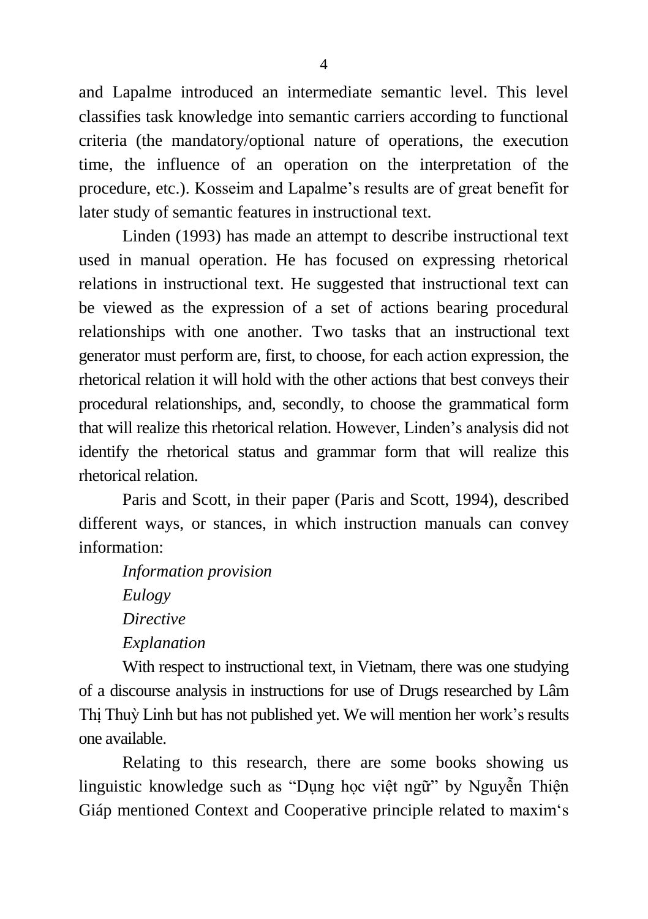and Lapalme introduced an intermediate semantic level. This level classifies task knowledge into semantic carriers according to functional criteria (the mandatory/optional nature of operations, the execution time, the influence of an operation on the interpretation of the procedure, etc.). Kosseim and Lapalme"s results are of great benefit for later study of semantic features in instructional text.

Linden (1993) has made an attempt to describe instructional text used in manual operation. He has focused on expressing rhetorical relations in instructional text. He suggested that instructional text can be viewed as the expression of a set of actions bearing procedural relationships with one another. Two tasks that an instructional text generator must perform are, first, to choose, for each action expression, the rhetorical relation it will hold with the other actions that best conveys their procedural relationships, and, secondly, to choose the grammatical form that will realize this rhetorical relation. However, Linden"s analysis did not identify the rhetorical status and grammar form that will realize this rhetorical relation.

Paris and Scott, in their paper (Paris and Scott, 1994), described different ways, or stances, in which instruction manuals can convey information:

*Information provision Eulogy Directive Explanation*

With respect to instructional text, in Vietnam, there was one studying of a discourse analysis in instructions for use of Drugs researched by Lâm Thị Thuỳ Linh but has not published yet. We will mention her work"s results one available.

Relating to this research, there are some books showing us linguistic knowledge such as "Dung học việt ngữ" by Nguyễn Thiên Giáp mentioned Context and Cooperative principle related to maxim"s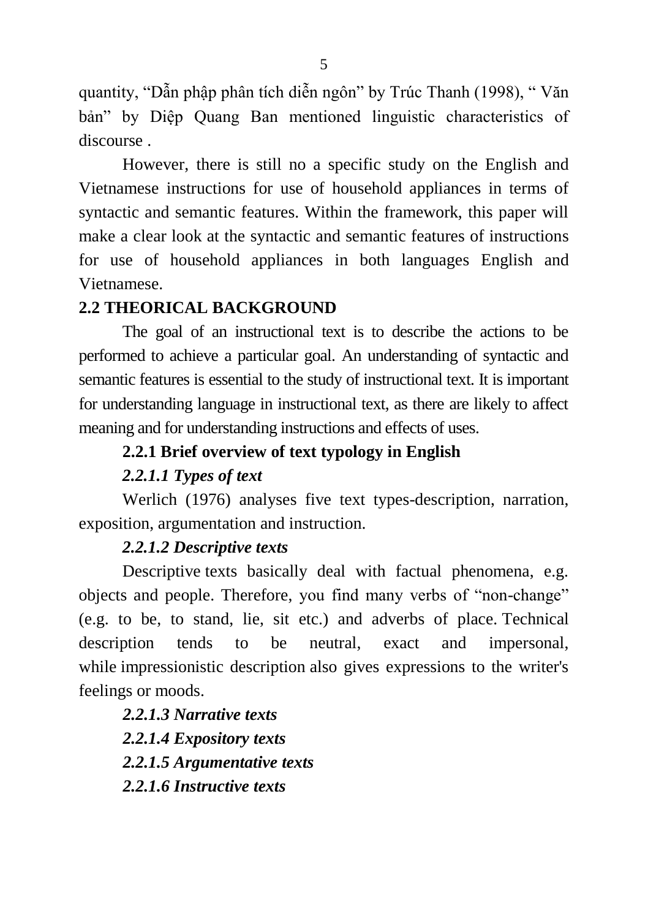quantity, "Dẫn phập phân tích diễn ngôn" by Trúc Thanh (1998), " Văn bản" by Diệp Quang Ban mentioned linguistic characteristics of discourse .

However, there is still no a specific study on the English and Vietnamese instructions for use of household appliances in terms of syntactic and semantic features. Within the framework, this paper will make a clear look at the syntactic and semantic features of instructions for use of household appliances in both languages English and Vietnamese.

### **2.2 THEORICAL BACKGROUND**

The goal of an instructional text is to describe the actions to be performed to achieve a particular goal. An understanding of syntactic and semantic features is essential to the study of instructional text. It is important for understanding language in instructional text, as there are likely to affect meaning and for understanding instructions and effects of uses.

### **2.2.1 Brief overview of text typology in English**

### *2.2.1.1 Types of text*

Werlich (1976) analyses five text types-description, narration, exposition, argumentation and instruction.

### *2.2.1.2 Descriptive texts*

Descriptive texts basically deal with factual phenomena, e.g. objects and people. Therefore, you find many verbs of "non-change" (e.g. to be, to stand, lie, sit etc.) and adverbs of place. Technical description tends to be neutral, exact and impersonal, while impressionistic description also gives expressions to the writer's feelings or moods.

*2.2.1.3 Narrative texts 2.2.1.4 Expository texts 2.2.1.5 Argumentative texts 2.2.1.6 Instructive texts*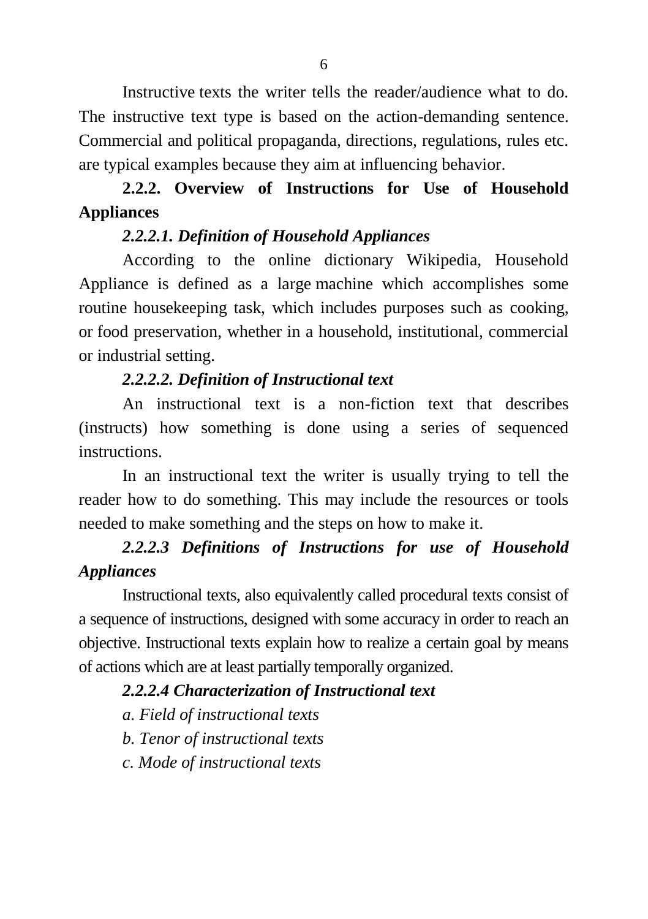Instructive texts the writer tells the reader/audience what to do. The instructive text type is based on the action-demanding sentence. Commercial and political propaganda, directions, regulations, rules etc. are typical examples because they aim at influencing behavior.

# **2.2.2. Overview of Instructions for Use of Household Appliances**

### *2.2.2.1. Definition of Household Appliances*

According to the online dictionary Wikipedia, Household Appliance is defined as a large [machine](http://en.wikipedia.org/wiki/Machine) which accomplishes some routine housekeeping task, which includes purposes such as [cooking,](http://en.wikipedia.org/wiki/Cooking) or [food preservation,](http://en.wikipedia.org/wiki/Food_preservation) whether in a household, institutional, commercial or industrial setting.

### *2.2.2.2. Definition of Instructional text*

An instructional text is a non-fiction text that describes (instructs) how something is done using a series of sequenced instructions.

In an instructional text the writer is usually trying to tell the reader how to do something. This may include the resources or tools needed to make something and the steps on how to make it.

# *2.2.2.3 Definitions of Instructions for use of Household Appliances*

Instructional texts, also equivalently called procedural texts consist of a sequence of instructions, designed with some accuracy in order to reach an objective. Instructional texts explain how to realize a certain goal by means of actions which are at least partially temporally organized.

### *2.2.2.4 Characterization of Instructional text*

*a. Field of instructional texts*

*b. Tenor of instructional texts*

*c. Mode of instructional texts*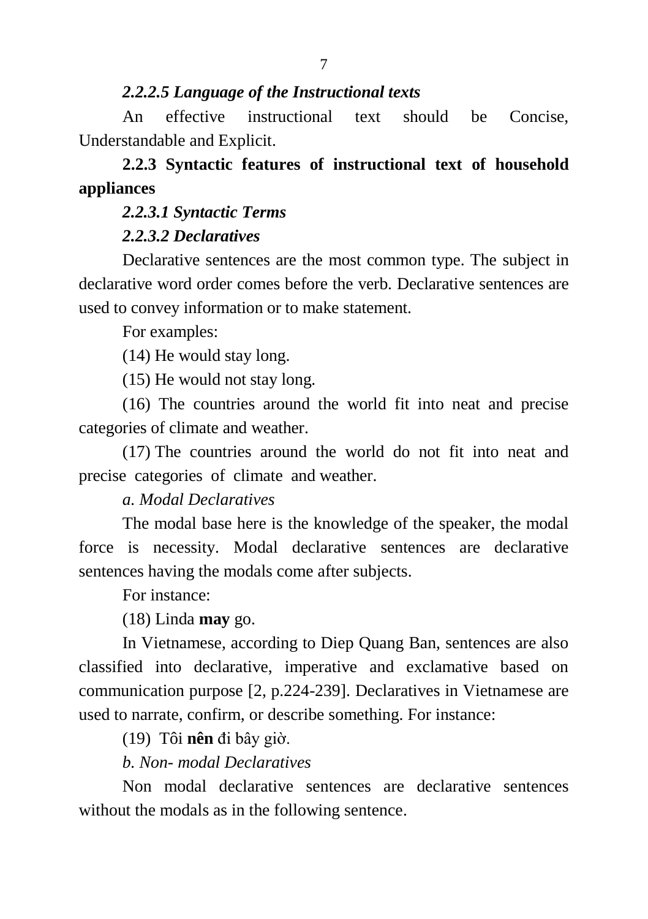#### *2.2.2.5 Language of the Instructional texts*

An effective instructional text should be Concise, Understandable and Explicit.

# **2.2.3 Syntactic features of instructional text of household appliances**

#### *2.2.3.1 Syntactic Terms*

### *2.2.3.2 Declaratives*

Declarative sentences are the most common type. The subject in declarative word order comes before the verb. Declarative sentences are used to convey information or to make statement.

For examples:

(14) He would stay long.

(15) He would not stay long.

(16) The countries around the world fit into neat and precise categories of climate and weather.

(17) The countries around the world do not fit into neat and precise categories of climate and weather.

### *a. Modal Declaratives*

The modal base here is the knowledge of the speaker, the modal force is necessity. Modal declarative sentences are declarative sentences having the modals come after subjects.

For instance:

(18) Linda **may** go.

In Vietnamese, according to Diep Quang Ban, sentences are also classified into declarative, imperative and exclamative based on communication purpose [2, p.224-239]. Declaratives in Vietnamese are used to narrate, confirm, or describe something. For instance:

(19) Tôi **nên** đi bây giờ.

### *b. Non- modal Declaratives*

Non modal declarative sentences are declarative sentences without the modals as in the following sentence.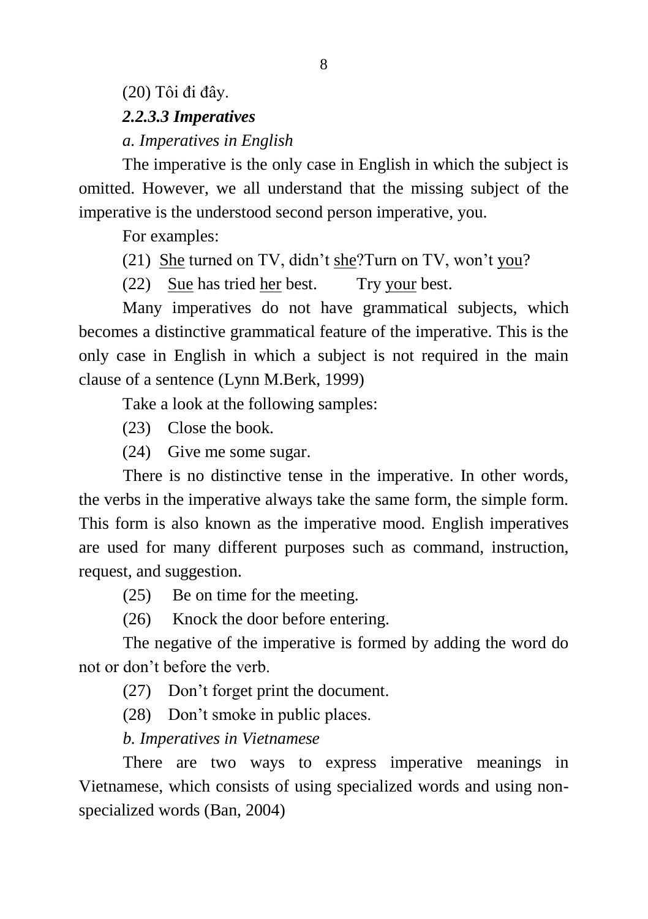# (20) Tôi đi đây. *2.2.3.3 Imperatives a. Imperatives in English*

The imperative is the only case in English in which the subject is omitted. However, we all understand that the missing subject of the imperative is the understood second person imperative, you.

For examples:

(21) She turned on TV, didn't she?Turn on TV, won't you?

(22) Sue has tried her best. Try your best.

Many imperatives do not have grammatical subjects, which becomes a distinctive grammatical feature of the imperative. This is the only case in English in which a subject is not required in the main clause of a sentence (Lynn M.Berk, 1999)

Take a look at the following samples:

(23) Close the book.

(24) Give me some sugar.

There is no distinctive tense in the imperative. In other words, the verbs in the imperative always take the same form, the simple form. This form is also known as the imperative mood. English imperatives are used for many different purposes such as command, instruction, request, and suggestion.

(25) Be on time for the meeting.

(26) Knock the door before entering.

The negative of the imperative is formed by adding the word do not or don"t before the verb.

(27) Don"t forget print the document.

(28) Don"t smoke in public places.

*b. Imperatives in Vietnamese*

There are two ways to express imperative meanings in Vietnamese, which consists of using specialized words and using nonspecialized words (Ban, 2004)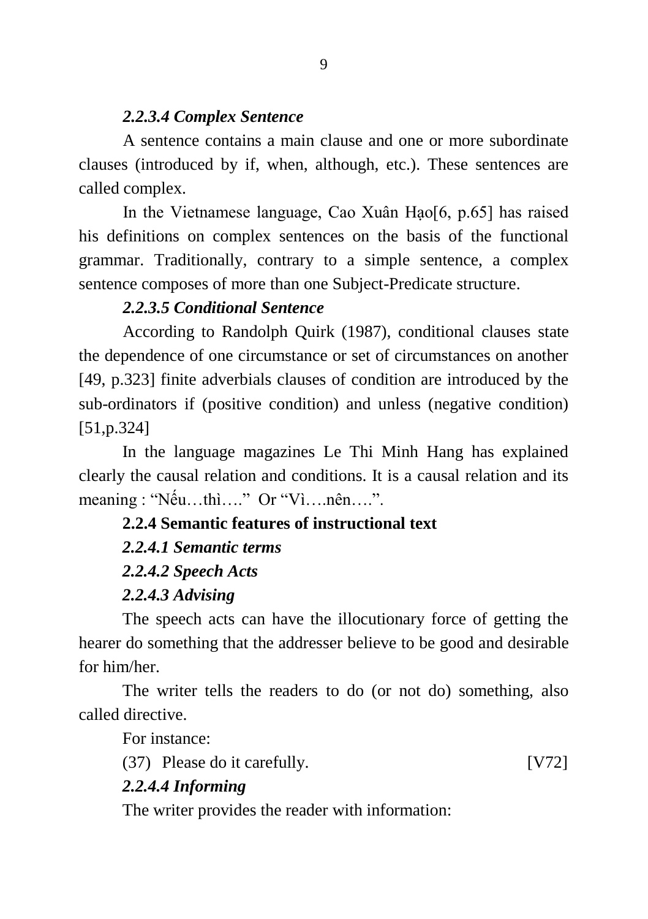#### *2.2.3.4 Complex Sentence*

A sentence contains a main clause and one or more subordinate clauses (introduced by if, when, although, etc.). These sentences are called complex.

In the Vietnamese language, Cao Xuân Hao<sup>[6]</sup>, p.65] has raised his definitions on complex sentences on the basis of the functional grammar. Traditionally, contrary to a simple sentence, a complex sentence composes of more than one Subject-Predicate structure.

### *2.2.3.5 Conditional Sentence*

According to Randolph Quirk (1987), conditional clauses state the dependence of one circumstance or set of circumstances on another [49, p.323] finite adverbials clauses of condition are introduced by the sub-ordinators if (positive condition) and unless (negative condition) [51,p.324]

In the language magazines Le Thi Minh Hang has explained clearly the causal relation and conditions. It is a causal relation and its meaning : "Nếu…thì…." Or "Vì….nên….".

# **2.2.4 Semantic features of instructional text**

### *2.2.4.1 Semantic terms*

#### *2.2.4.2 Speech Acts*

#### *2.2.4.3 Advising*

The speech acts can have the illocutionary force of getting the hearer do something that the addresser believe to be good and desirable for him/her.

The writer tells the readers to do (or not do) something, also called directive.

For instance:

(37) Please do it carefully. [V72]

### *2.2.4.4 Informing*

The writer provides the reader with information: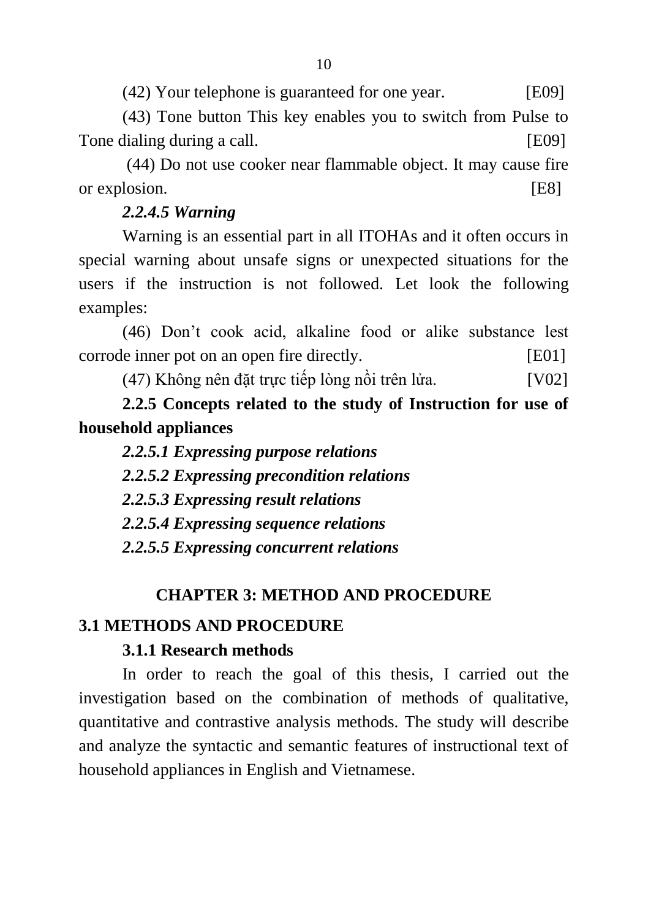(42) Your telephone is guaranteed for one year. [E09]

(43) Tone button This key enables you to switch from Pulse to Tone dialing during a call. [E09]

(44) Do not use cooker near flammable object. It may cause fire or explosion. [E8]

### *2.2.4.5 Warning*

Warning is an essential part in all ITOHAs and it often occurs in special warning about unsafe signs or unexpected situations for the users if the instruction is not followed. Let look the following examples:

(46) Don"t cook acid, alkaline food or alike substance lest corrode inner pot on an open fire directly. [E01]

 $(47)$  Không nên đặt trực tiếp lòng nồi trên lửa. [V02]

**2.2.5 Concepts related to the study of Instruction for use of household appliances**

*2.2.5.1 Expressing purpose relations*

*2.2.5.2 Expressing precondition relations*

*2.2.5.3 Expressing result relations*

*2.2.5.4 Expressing sequence relations*

*2.2.5.5 Expressing concurrent relations*

# **CHAPTER 3: METHOD AND PROCEDURE**

### **3.1 METHODS AND PROCEDURE**

### **3.1.1 Research methods**

In order to reach the goal of this thesis, I carried out the investigation based on the combination of methods of qualitative, quantitative and contrastive analysis methods. The study will describe and analyze the syntactic and semantic features of instructional text of household appliances in English and Vietnamese.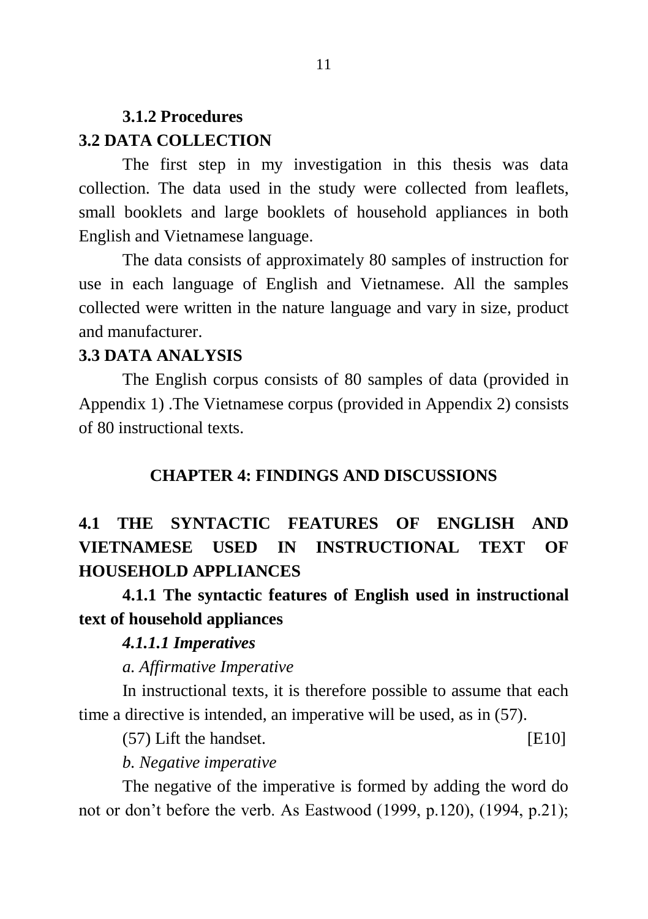# **3.1.2 Procedures 3.2 DATA COLLECTION**

The first step in my investigation in this thesis was data collection. The data used in the study were collected from leaflets, small booklets and large booklets of household appliances in both English and Vietnamese language.

The data consists of approximately 80 samples of instruction for use in each language of English and Vietnamese. All the samples collected were written in the nature language and vary in size, product and manufacturer.

#### **3.3 DATA ANALYSIS**

The English corpus consists of 80 samples of data (provided in Appendix 1) .The Vietnamese corpus (provided in Appendix 2) consists of 80 instructional texts.

#### **CHAPTER 4: FINDINGS AND DISCUSSIONS**

# **4.1 THE SYNTACTIC FEATURES OF ENGLISH AND VIETNAMESE USED IN INSTRUCTIONAL TEXT OF HOUSEHOLD APPLIANCES**

**4.1.1 The syntactic features of English used in instructional text of household appliances**

#### *4.1.1.1 Imperatives*

*a. Affirmative Imperative*

In instructional texts, it is therefore possible to assume that each time a directive is intended, an imperative will be used, as in (57).

(57) Lift the handset. [E10]

*b. Negative imperative*

The negative of the imperative is formed by adding the word do not or don"t before the verb. As Eastwood (1999, p.120), (1994, p.21);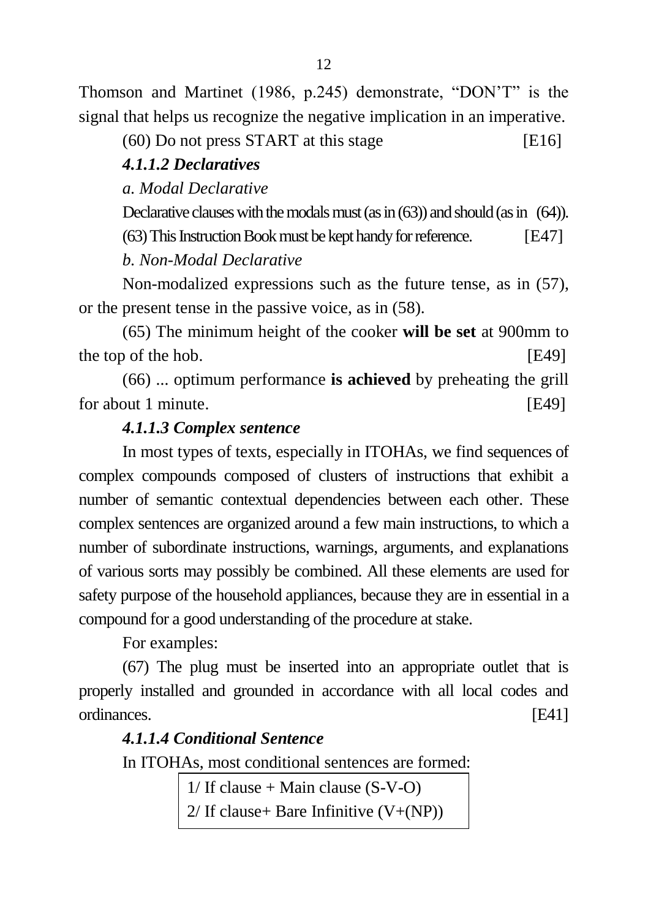Thomson and Martinet (1986, p.245) demonstrate, "DON"T" is the signal that helps us recognize the negative implication in an imperative.

 $(60)$  Do not press START at this stage [E16]

#### *4.1.1.2 Declaratives*

*a. Modal Declarative*

Declarative clauses with the modals must (as in (63)) and should (as in (64)).

(63) This Instruction Book must be kept handy for reference. [E47]

*b. Non-Modal Declarative*

Non-modalized expressions such as the future tense, as in (57), or the present tense in the passive voice, as in (58).

(65) The minimum height of the cooker **will be set** at 900mm to the top of the hob. [E49]

(66) ... optimum performance **is achieved** by preheating the grill for about 1 minute. [E49]

### *4.1.1.3 Complex sentence*

In most types of texts, especially in ITOHAs, we find sequences of complex compounds composed of clusters of instructions that exhibit a number of semantic contextual dependencies between each other. These complex sentences are organized around a few main instructions, to which a number of subordinate instructions, warnings, arguments, and explanations of various sorts may possibly be combined. All these elements are used for safety purpose of the household appliances, because they are in essential in a compound for a good understanding of the procedure at stake.

For examples:

(67) The plug must be inserted into an appropriate outlet that is properly installed and grounded in accordance with all local codes and ordinances. [E41]

### *4.1.1.4 Conditional Sentence*

In ITOHAs, most conditional sentences are formed:

 $1/$  If clause + Main clause (S-V-O)  $2/$  If clause + Bare Infinitive  $(V+(NP))$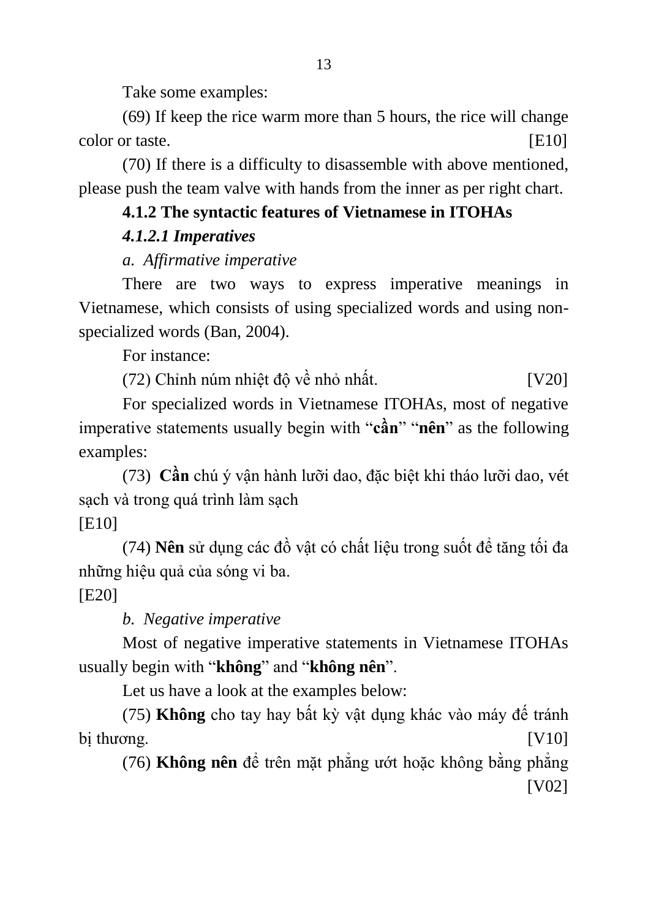Take some examples:

(69) If keep the rice warm more than 5 hours, the rice will change color or taste. [E10]

(70) If there is a difficulty to disassemble with above mentioned, please push the team valve with hands from the inner as per right chart.

# **4.1.2 The syntactic features of Vietnamese in ITOHAs**

# *4.1.2.1 Imperatives*

# *a. Affirmative imperative*

There are two ways to express imperative meanings in Vietnamese, which consists of using specialized words and using nonspecialized words (Ban, 2004).

For instance:

(72) Chỉnh núm nhiệt độ về nhỏ nhất. [V20]

For specialized words in Vietnamese ITOHAs, most of negative imperative statements usually begin with "**cần**" "**nên**" as the following examples:

(73) **Cần** chú ý vận hành lưỡi dao, đặc biệt khi tháo lưỡi dao, vét sạch và trong quá trình làm sạch

# [E10]

(74) **Nên** sử dụng các đồ vật có chất liệu trong suốt để tăng tối đa những hiệu quả của sóng vi ba.

[E20]

# *b. Negative imperative*

Most of negative imperative statements in Vietnamese ITOHAs usually begin with "**không**" and "**không nên**".

Let us have a look at the examples below:

(75) **Không** cho tay hay bất kỳ vật dụng khác vào máy đế tránh bị thương.  $[V10]$ 

(76) **Không nên** để trên mặt phẳng ướt hoặc không bằng phẳng [V02]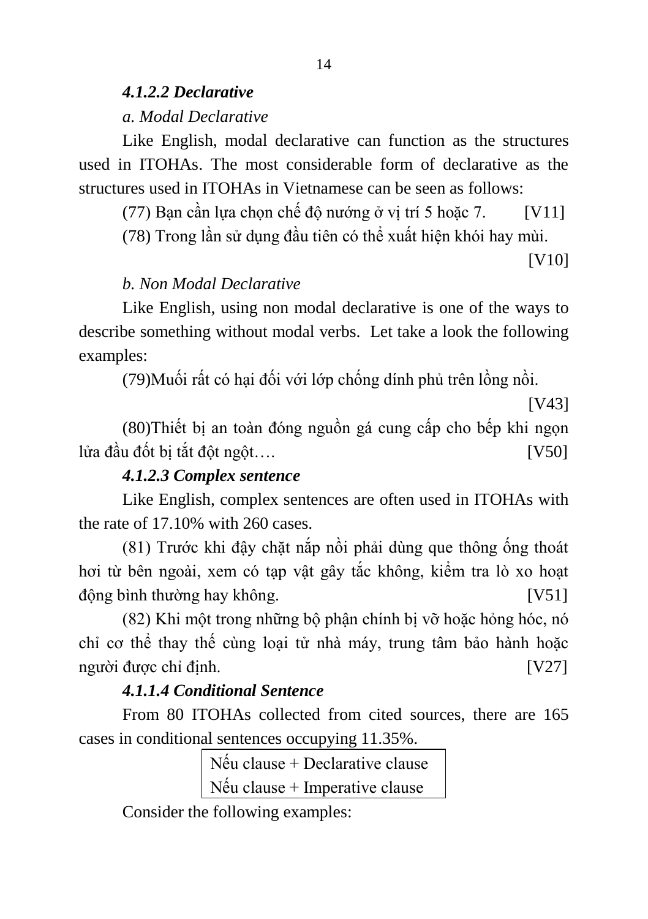#### *4.1.2.2 Declarative a. Modal Declarative*

Like English, modal declarative can function as the structures used in ITOHAs. The most considerable form of declarative as the structures used in ITOHAs in Vietnamese can be seen as follows:

(77) Bạn cần lựa chọn chế độ nướng ở vị trí 5 hoặc 7. [V11]

(78) Trong lần sử dụng đầu tiên có thể xuất hiện khói hay mùi.

[V10]

# *b. Non Modal Declarative*

Like English, using non modal declarative is one of the ways to describe something without modal verbs. Let take a look the following examples:

(79)Muối rất có hại đối với lớp chống dính phủ trên lồng nồi.

[V43]

(80)Thiết bị an toàn đóng nguồn gá cung cấp cho bếp khi ngọn lửa đầu đốt bị tắt đột ngột…. [V50]

# *4.1.2.3 Complex sentence*

Like English, complex sentences are often used in ITOHAs with the rate of 17.10% with 260 cases.

(81) Trước khi đậy chặt nắp nồi phải dùng que thông ống thoát hơi từ bên ngoài, xem có tạp vật gây tắc không, kiểm tra lò xo hoạt động bình thường hay không. [V51]

(82) Khi một trong những bộ phận chính bị vỡ hoặc hỏng hóc, nó chỉ cơ thể thay thế cùng loại tử nhà máy, trung tâm bảo hành hoặc người được chỉ định. [V27]

# *4.1.1.4 Conditional Sentence*

From 80 ITOHAs collected from cited sources, there are 165 cases in conditional sentences occupying 11.35%.

> Nếu clause + Declarative clause Nếu clause + Imperative clause

Consider the following examples: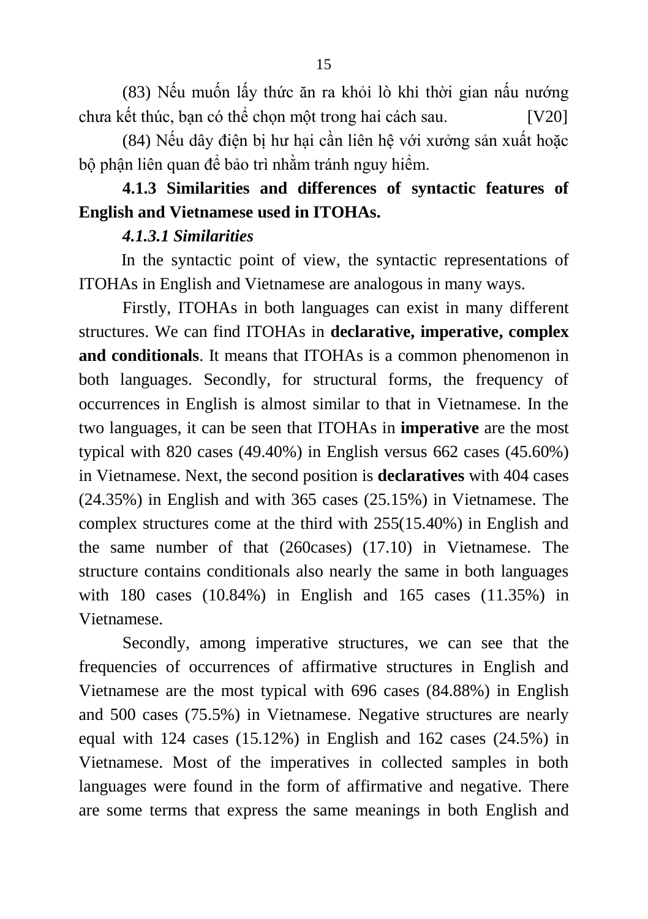(83) Nếu muốn lấy thức ăn ra khỏi lò khi thời gian nấu nướng chưa kết thúc, bạn có thể chọn một trong hai cách sau. [V20]

(84) Nếu dây điện bị hư hại cần liên hệ với xưởng sản xuất hoặc bộ phận liên quan để bảo trì nhằm tránh nguy hiểm.

# **4.1.3 Similarities and differences of syntactic features of English and Vietnamese used in ITOHAs.**

### *4.1.3.1 Similarities*

 In the syntactic point of view, the syntactic representations of ITOHAs in English and Vietnamese are analogous in many ways.

Firstly, ITOHAs in both languages can exist in many different structures. We can find ITOHAs in **declarative, imperative, complex and conditionals**. It means that ITOHAs is a common phenomenon in both languages. Secondly, for structural forms, the frequency of occurrences in English is almost similar to that in Vietnamese. In the two languages, it can be seen that ITOHAs in **imperative** are the most typical with 820 cases (49.40%) in English versus 662 cases (45.60%) in Vietnamese. Next, the second position is **declaratives** with 404 cases (24.35%) in English and with 365 cases (25.15%) in Vietnamese. The complex structures come at the third with 255(15.40%) in English and the same number of that (260cases) (17.10) in Vietnamese. The structure contains conditionals also nearly the same in both languages with 180 cases (10.84%) in English and 165 cases (11.35%) in Vietnamese.

Secondly, among imperative structures, we can see that the frequencies of occurrences of affirmative structures in English and Vietnamese are the most typical with 696 cases (84.88%) in English and 500 cases (75.5%) in Vietnamese. Negative structures are nearly equal with 124 cases (15.12%) in English and 162 cases (24.5%) in Vietnamese. Most of the imperatives in collected samples in both languages were found in the form of affirmative and negative. There are some terms that express the same meanings in both English and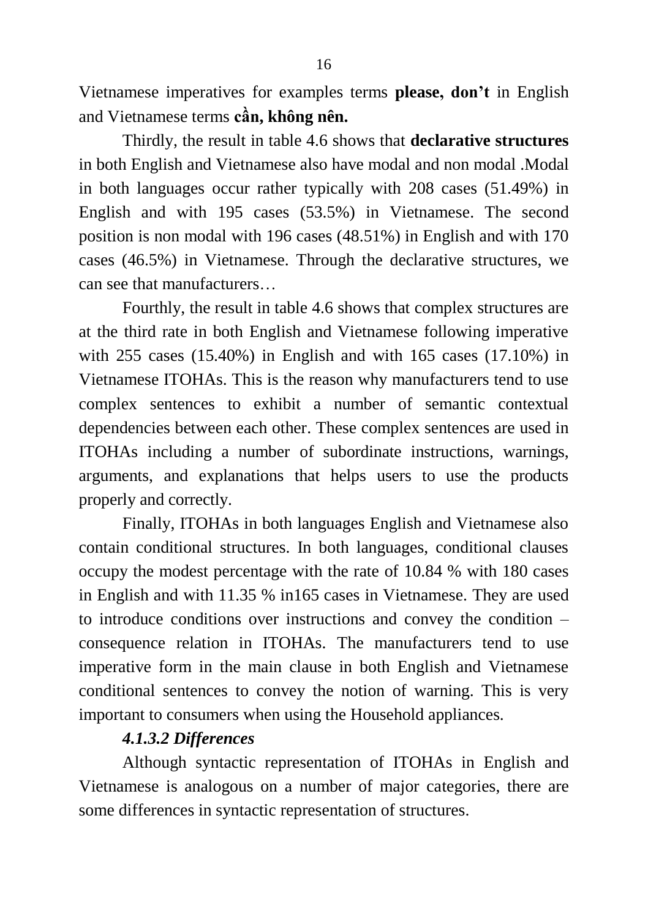Vietnamese imperatives for examples terms **please, don't** in English and Vietnamese terms **cần, không nên.**

Thirdly, the result in table 4.6 shows that **declarative structures** in both English and Vietnamese also have modal and non modal .Modal in both languages occur rather typically with 208 cases (51.49%) in English and with 195 cases (53.5%) in Vietnamese. The second position is non modal with 196 cases (48.51%) in English and with 170 cases (46.5%) in Vietnamese. Through the declarative structures, we can see that manufacturers…

Fourthly, the result in table 4.6 shows that complex structures are at the third rate in both English and Vietnamese following imperative with 255 cases (15.40%) in English and with 165 cases (17.10%) in Vietnamese ITOHAs. This is the reason why manufacturers tend to use complex sentences to exhibit a number of semantic contextual dependencies between each other. These complex sentences are used in ITOHAs including a number of subordinate instructions, warnings, arguments, and explanations that helps users to use the products properly and correctly.

Finally, ITOHAs in both languages English and Vietnamese also contain conditional structures. In both languages, conditional clauses occupy the modest percentage with the rate of 10.84 % with 180 cases in English and with 11.35 % in165 cases in Vietnamese. They are used to introduce conditions over instructions and convey the condition – consequence relation in ITOHAs. The manufacturers tend to use imperative form in the main clause in both English and Vietnamese conditional sentences to convey the notion of warning. This is very important to consumers when using the Household appliances.

### *4.1.3.2 Differences*

Although syntactic representation of ITOHAs in English and Vietnamese is analogous on a number of major categories, there are some differences in syntactic representation of structures.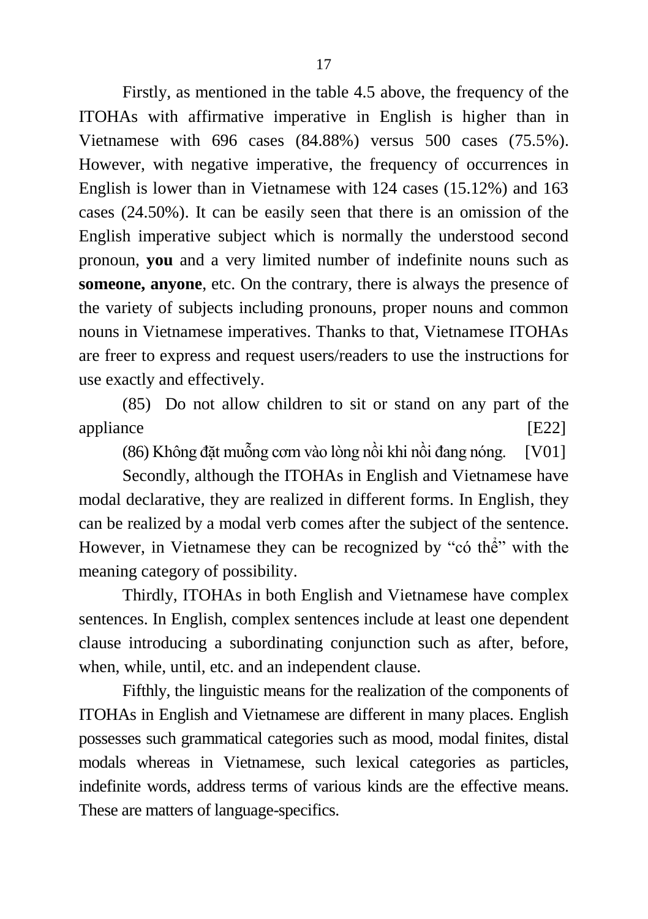Firstly, as mentioned in the table 4.5 above, the frequency of the ITOHAs with affirmative imperative in English is higher than in Vietnamese with 696 cases (84.88%) versus 500 cases (75.5%). However, with negative imperative, the frequency of occurrences in English is lower than in Vietnamese with 124 cases (15.12%) and 163 cases (24.50%). It can be easily seen that there is an omission of the English imperative subject which is normally the understood second pronoun, **you** and a very limited number of indefinite nouns such as **someone, anyone**, etc. On the contrary, there is always the presence of the variety of subjects including pronouns, proper nouns and common nouns in Vietnamese imperatives. Thanks to that, Vietnamese ITOHAs are freer to express and request users/readers to use the instructions for use exactly and effectively.

(85) Do not allow children to sit or stand on any part of the appliance [E22]

(86) Không đặt muỗng cơm vào lòng nồi khi nồi đang nóng. [V01]

Secondly, although the ITOHAs in English and Vietnamese have modal declarative, they are realized in different forms. In English, they can be realized by a modal verb comes after the subject of the sentence. However, in Vietnamese they can be recognized by "có thể" with the meaning category of possibility.

Thirdly, ITOHAs in both English and Vietnamese have complex sentences. In English, complex sentences include at least one dependent clause introducing a subordinating conjunction such as after, before, when, while, until, etc. and an independent clause.

Fifthly, the linguistic means for the realization of the components of ITOHAs in English and Vietnamese are different in many places. English possesses such grammatical categories such as mood, modal finites, distal modals whereas in Vietnamese, such lexical categories as particles, indefinite words, address terms of various kinds are the effective means. These are matters of language-specifics.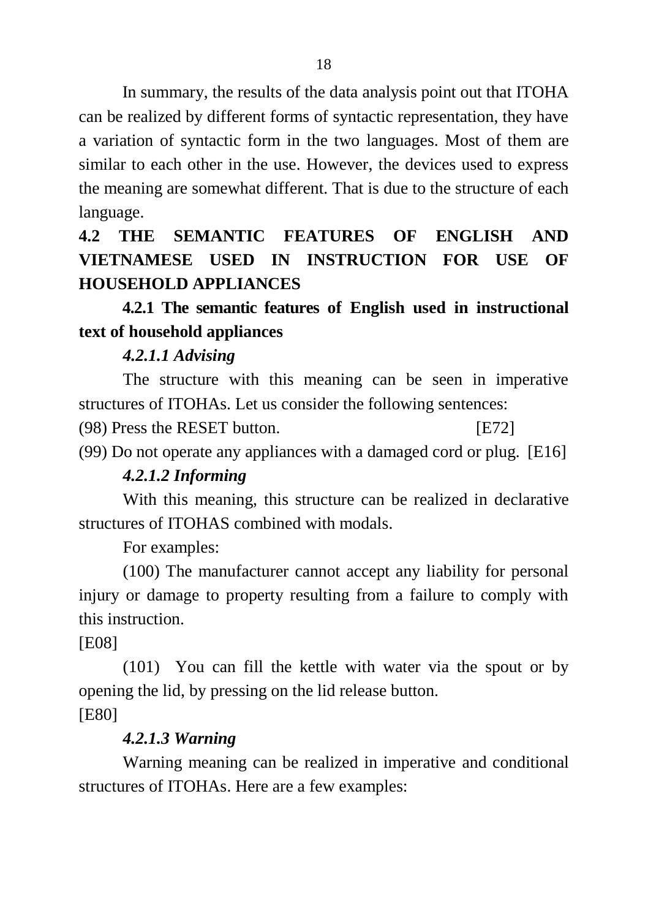In summary, the results of the data analysis point out that ITOHA can be realized by different forms of syntactic representation, they have a variation of syntactic form in the two languages. Most of them are similar to each other in the use. However, the devices used to express the meaning are somewhat different. That is due to the structure of each language.

**4.2 THE SEMANTIC FEATURES OF ENGLISH AND VIETNAMESE USED IN INSTRUCTION FOR USE OF HOUSEHOLD APPLIANCES**

# **4.2.1 The semantic features of English used in instructional text of household appliances**

# *4.2.1.1 Advising*

The structure with this meaning can be seen in imperative structures of ITOHAs. Let us consider the following sentences:

(98) Press the RESET button. [E72]

(99) Do not operate any appliances with a damaged cord or plug. [E16]

# *4.2.1.2 Informing*

With this meaning, this structure can be realized in declarative structures of ITOHAS combined with modals.

For examples:

(100) The manufacturer cannot accept any liability for personal injury or damage to property resulting from a failure to comply with this instruction.

[E08]

(101) You can fill the kettle with water via the spout or by opening the lid, by pressing on the lid release button. [E80]

### *4.2.1.3 Warning*

Warning meaning can be realized in imperative and conditional structures of ITOHAs. Here are a few examples: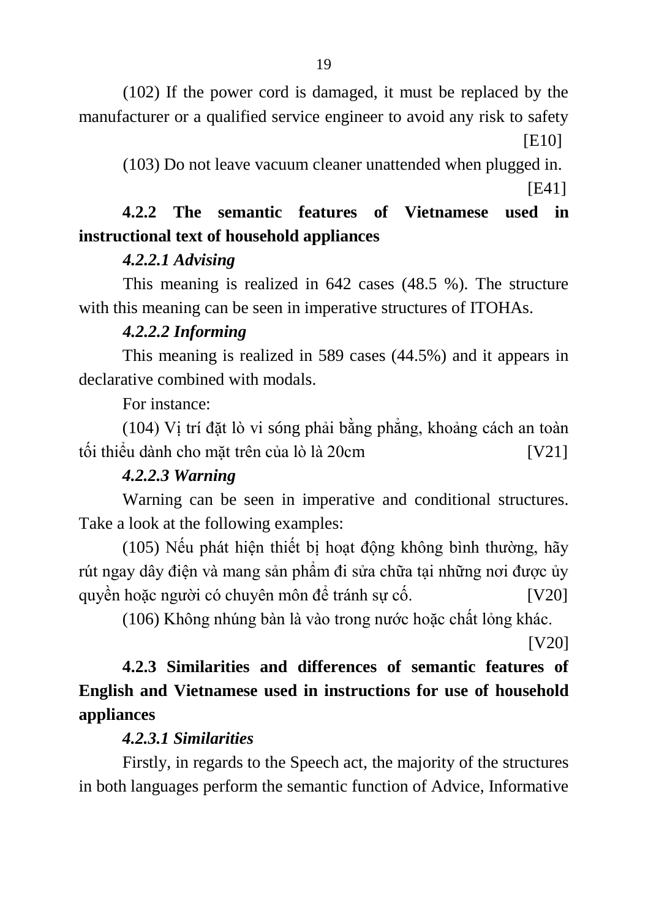(102) If the power cord is damaged, it must be replaced by the manufacturer or a qualified service engineer to avoid any risk to safety [E10]

(103) Do not leave vacuum cleaner unattended when plugged in.

[E41]

# **4.2.2 The semantic features of Vietnamese used in instructional text of household appliances**

# *4.2.2.1 Advising*

This meaning is realized in 642 cases (48.5 %). The structure with this meaning can be seen in imperative structures of ITOHAs.

# *4.2.2.2 Informing*

This meaning is realized in 589 cases (44.5%) and it appears in declarative combined with modals.

For instance:

(104) Vị trí đặt lò vi sóng phải bằng phẳng, khoảng cách an toàn tối thiểu dành cho mặt trên của lò là 20cm [V21]

# *4.2.2.3 Warning*

Warning can be seen in imperative and conditional structures. Take a look at the following examples:

(105) Nếu phát hiện thiết bị hoạt động không bình thường, hãy rút ngay dây điện và mang sản phẩm đi sửa chữa tại những nơi được ủy quyền hoặc người có chuyên môn để tránh sự cố.  $[V20]$ 

(106) Không nhúng bàn là vào trong nước hoặc chất lỏng khác.

[V20]

# **4.2.3 Similarities and differences of semantic features of English and Vietnamese used in instructions for use of household appliances**

# *4.2.3.1 Similarities*

Firstly, in regards to the Speech act, the majority of the structures in both languages perform the semantic function of Advice, Informative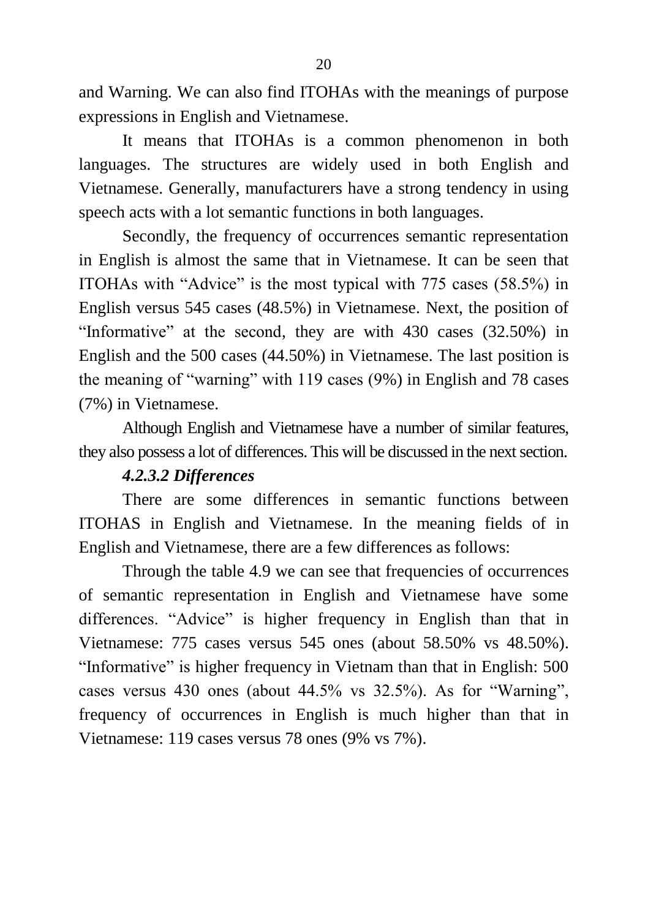and Warning. We can also find ITOHAs with the meanings of purpose expressions in English and Vietnamese.

It means that ITOHAs is a common phenomenon in both languages. The structures are widely used in both English and Vietnamese. Generally, manufacturers have a strong tendency in using speech acts with a lot semantic functions in both languages.

Secondly, the frequency of occurrences semantic representation in English is almost the same that in Vietnamese. It can be seen that ITOHAs with "Advice" is the most typical with 775 cases (58.5%) in English versus 545 cases (48.5%) in Vietnamese. Next, the position of "Informative" at the second, they are with 430 cases (32.50%) in English and the 500 cases (44.50%) in Vietnamese. The last position is the meaning of "warning" with 119 cases (9%) in English and 78 cases (7%) in Vietnamese.

Although English and Vietnamese have a number of similar features, they also possess a lot of differences. This will be discussed in the next section.

### *4.2.3.2 Differences*

There are some differences in semantic functions between ITOHAS in English and Vietnamese. In the meaning fields of in English and Vietnamese, there are a few differences as follows:

Through the table 4.9 we can see that frequencies of occurrences of semantic representation in English and Vietnamese have some differences. "Advice" is higher frequency in English than that in Vietnamese: 775 cases versus 545 ones (about 58.50% vs 48.50%). "Informative" is higher frequency in Vietnam than that in English: 500 cases versus 430 ones (about 44.5% vs 32.5%). As for "Warning", frequency of occurrences in English is much higher than that in Vietnamese: 119 cases versus 78 ones (9% vs 7%).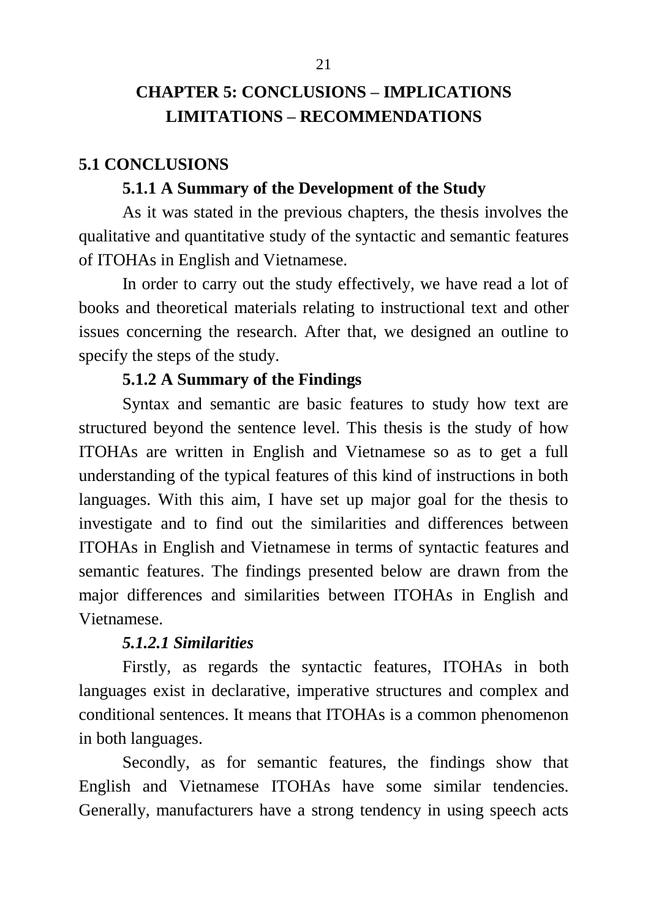# **CHAPTER 5: CONCLUSIONS – IMPLICATIONS LIMITATIONS – RECOMMENDATIONS**

#### **5.1 CONCLUSIONS**

#### **5.1.1 A Summary of the Development of the Study**

As it was stated in the previous chapters, the thesis involves the qualitative and quantitative study of the syntactic and semantic features of ITOHAs in English and Vietnamese.

In order to carry out the study effectively, we have read a lot of books and theoretical materials relating to instructional text and other issues concerning the research. After that, we designed an outline to specify the steps of the study.

#### **5.1.2 A Summary of the Findings**

Syntax and semantic are basic features to study how text are structured beyond the sentence level. This thesis is the study of how ITOHAs are written in English and Vietnamese so as to get a full understanding of the typical features of this kind of instructions in both languages. With this aim, I have set up major goal for the thesis to investigate and to find out the similarities and differences between ITOHAs in English and Vietnamese in terms of syntactic features and semantic features. The findings presented below are drawn from the major differences and similarities between ITOHAs in English and Vietnamese.

#### *5.1.2.1 Similarities*

Firstly, as regards the syntactic features, ITOHAs in both languages exist in declarative, imperative structures and complex and conditional sentences. It means that ITOHAs is a common phenomenon in both languages.

Secondly, as for semantic features, the findings show that English and Vietnamese ITOHAs have some similar tendencies. Generally, manufacturers have a strong tendency in using speech acts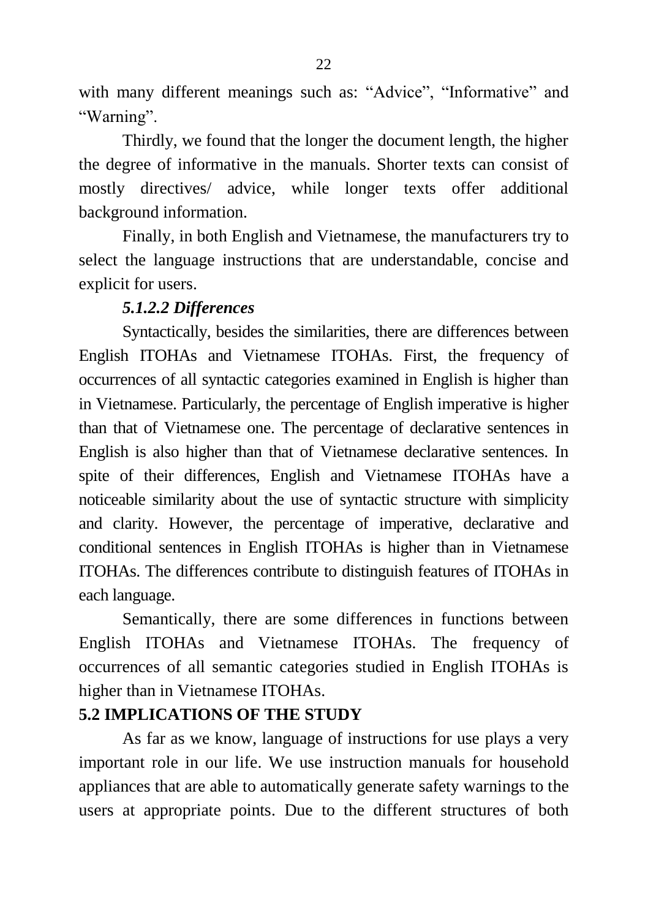with many different meanings such as: "Advice", "Informative" and "Warning".

Thirdly, we found that the longer the document length, the higher the degree of informative in the manuals. Shorter texts can consist of mostly directives/ advice, while longer texts offer additional background information.

Finally, in both English and Vietnamese, the manufacturers try to select the language instructions that are understandable, concise and explicit for users.

### *5.1.2.2 Differences*

Syntactically, besides the similarities, there are differences between English ITOHAs and Vietnamese ITOHAs. First, the frequency of occurrences of all syntactic categories examined in English is higher than in Vietnamese. Particularly, the percentage of English imperative is higher than that of Vietnamese one. The percentage of declarative sentences in English is also higher than that of Vietnamese declarative sentences. In spite of their differences, English and Vietnamese ITOHAs have a noticeable similarity about the use of syntactic structure with simplicity and clarity. However, the percentage of imperative, declarative and conditional sentences in English ITOHAs is higher than in Vietnamese ITOHAs. The differences contribute to distinguish features of ITOHAs in each language.

Semantically, there are some differences in functions between English ITOHAs and Vietnamese ITOHAs. The frequency of occurrences of all semantic categories studied in English ITOHAs is higher than in Vietnamese ITOHAs.

### **5.2 IMPLICATIONS OF THE STUDY**

As far as we know, language of instructions for use plays a very important role in our life. We use instruction manuals for household appliances that are able to automatically generate safety warnings to the users at appropriate points. Due to the different structures of both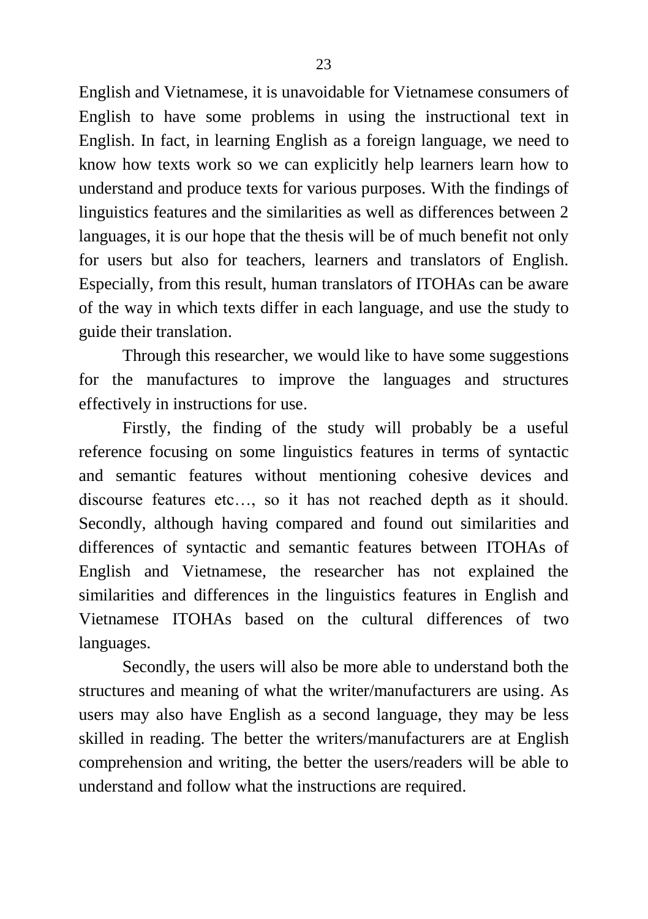English and Vietnamese, it is unavoidable for Vietnamese consumers of English to have some problems in using the instructional text in English. In fact, in learning English as a foreign language, we need to know how texts work so we can explicitly help learners learn how to understand and produce texts for various purposes. With the findings of linguistics features and the similarities as well as differences between 2 languages, it is our hope that the thesis will be of much benefit not only for users but also for teachers, learners and translators of English. Especially, from this result, human translators of ITOHAs can be aware of the way in which texts differ in each language, and use the study to guide their translation.

Through this researcher, we would like to have some suggestions for the manufactures to improve the languages and structures effectively in instructions for use.

Firstly, the finding of the study will probably be a useful reference focusing on some linguistics features in terms of syntactic and semantic features without mentioning cohesive devices and discourse features etc…, so it has not reached depth as it should. Secondly, although having compared and found out similarities and differences of syntactic and semantic features between ITOHAs of English and Vietnamese, the researcher has not explained the similarities and differences in the linguistics features in English and Vietnamese ITOHAs based on the cultural differences of two languages.

Secondly, the users will also be more able to understand both the structures and meaning of what the writer/manufacturers are using. As users may also have English as a second language, they may be less skilled in reading. The better the writers/manufacturers are at English comprehension and writing, the better the users/readers will be able to understand and follow what the instructions are required.